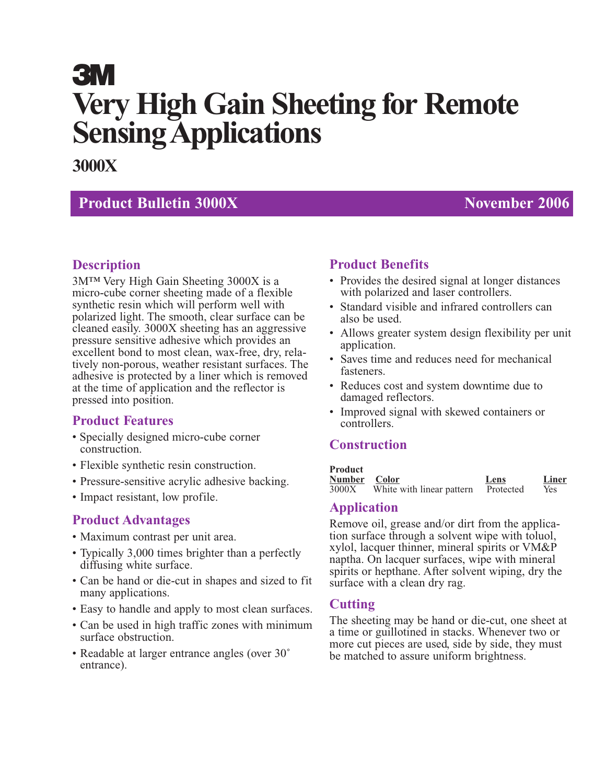# **3M Very High Gain Sheeting for Remote Sensing Applications**

# **3000X**

# **Product Bulletin 3000X** November 2006

# **Description**

3M™ Very High Gain Sheeting 3000X is a micro-cube corner sheeting made of a flexible synthetic resin which will perform well with polarized light. The smooth, clear surface can be cleaned easily. 3000X sheeting has an aggressive pressure sensitive adhesive which provides an excellent bond to most clean, wax-free, dry, relatively non-porous, weather resistant surfaces. The adhesive is protected by a liner which is removed at the time of application and the reflector is pressed into position.

# **Product Features**

- Specially designed micro-cube corner construction.
- Flexible synthetic resin construction.
- Pressure-sensitive acrylic adhesive backing.
- Impact resistant, low profile.

#### **Product Advantages**

- Maximum contrast per unit area.
- Typically 3,000 times brighter than a perfectly diffusing white surface.
- Can be hand or die-cut in shapes and sized to fit many applications.
- Easy to handle and apply to most clean surfaces.
- Can be used in high traffic zones with minimum surface obstruction.
- Readable at larger entrance angles (over 30° entrance).

# **Product Benefits**

- Provides the desired signal at longer distances with polarized and laser controllers.
- Standard visible and infrared controllers can also be used.
- Allows greater system design flexibility per unit application.
- Saves time and reduces need for mechanical fasteners.
- Reduces cost and system downtime due to damaged reflectors.
- Improved signal with skewed containers or controllers.

# **Construction**

#### **Product**

| Number Color |                           | Lens      | Liner |
|--------------|---------------------------|-----------|-------|
| 3000X        | White with linear pattern | Protected | Yes.  |

#### **Application**

Remove oil, grease and/or dirt from the application surface through a solvent wipe with toluol, xylol, lacquer thinner, mineral spirits or VM&P naptha. On lacquer surfaces, wipe with mineral spirits or hepthane. After solvent wiping, dry the surface with a clean dry rag.

#### **Cutting**

The sheeting may be hand or die-cut, one sheet at a time or guillotined in stacks. Whenever two or more cut pieces are used, side by side, they must be matched to assure uniform brightness.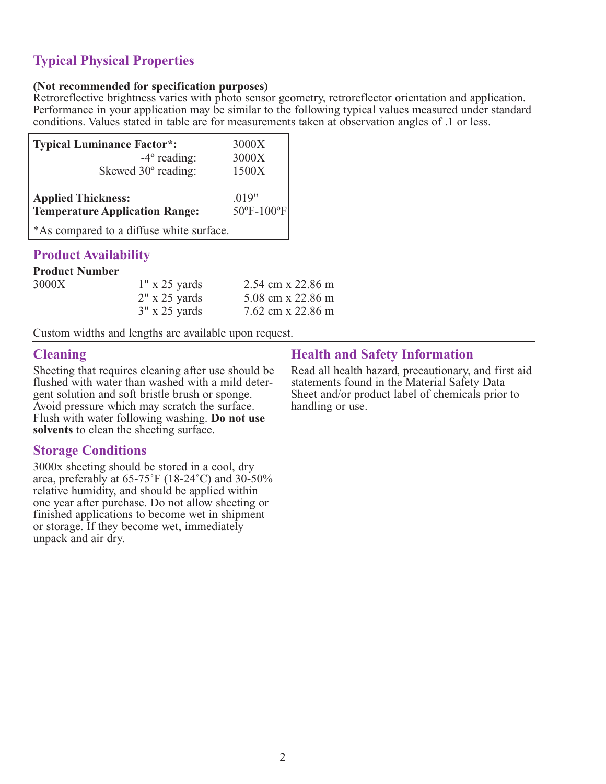# **Typical Physical Properties**

#### **(Not recommended for specification purposes)**

Retroreflective brightness varies with photo sensor geometry, retroreflector orientation and application. Performance in your application may be similar to the following typical values measured under standard conditions. Values stated in table are for measurements taken at observation angles of .1 or less.

| <b>Typical Luminance Factor*:</b>                                  | 3000X               |
|--------------------------------------------------------------------|---------------------|
| $-4^{\circ}$ reading:                                              | 3000X               |
| Skewed 30° reading:                                                | 1500X               |
| <b>Applied Thickness:</b><br><b>Temperature Application Range:</b> | .019"<br>50°F-100°F |
| *As compared to a diffuse white surface.                           |                     |

#### **Product Availability**

#### **Product Number**

| 3000X | $1" \times 25$ yards  | 2.54 cm x 22.86 m |
|-------|-----------------------|-------------------|
|       | $2" \times 25$ yards  | 5.08 cm x 22.86 m |
|       | $3'' \times 25$ yards | 7.62 cm x 22.86 m |

Custom widths and lengths are available upon request.

#### **Cleaning**

Sheeting that requires cleaning after use should be flushed with water than washed with a mild detergent solution and soft bristle brush or sponge. Avoid pressure which may scratch the surface. Flush with water following washing. **Do not use solvents** to clean the sheeting surface.

#### **Storage Conditions**

3000x sheeting should be stored in a cool, dry area, preferably at  $65-75^{\circ}$ F (18-24<sup>°</sup>C) and 30-50% relative humidity, and should be applied within one year after purchase. Do not allow sheeting or finished applications to become wet in shipment or storage. If they become wet, immediately unpack and air dry.

# **Health and Safety Information**

Read all health hazard, precautionary, and first aid statements found in the Material Safety Data Sheet and/or product label of chemicals prior to handling or use.